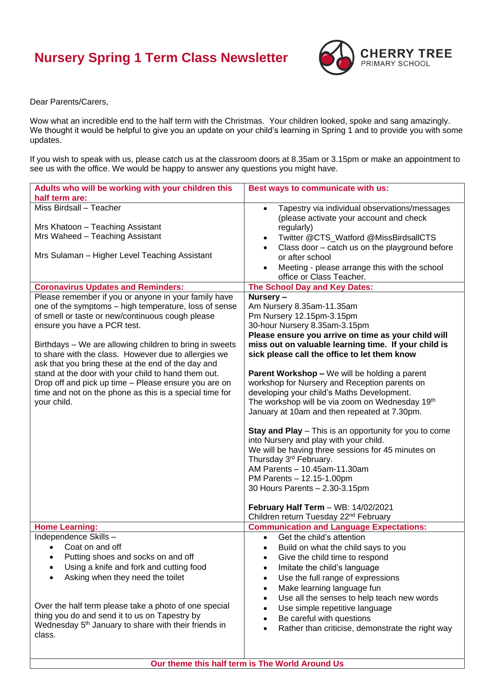## **Nursery Spring 1 Term Class Newsletter**



Dear Parents/Carers,

Wow what an incredible end to the half term with the Christmas. Your children looked, spoke and sang amazingly. We thought it would be helpful to give you an update on your child's learning in Spring 1 and to provide you with some updates.

If you wish to speak with us, please catch us at the classroom doors at 8.35am or 3.15pm or make an appointment to see us with the office. We would be happy to answer any questions you might have.

| Adults who will be working with your children this                                                         | Best ways to communicate with us:                                                                     |
|------------------------------------------------------------------------------------------------------------|-------------------------------------------------------------------------------------------------------|
| half term are:                                                                                             |                                                                                                       |
| Miss Birdsall - Teacher                                                                                    | Tapestry via individual observations/messages<br>$\bullet$<br>(please activate your account and check |
| Mrs Khatoon - Teaching Assistant                                                                           | regularly)                                                                                            |
| Mrs Waheed - Teaching Assistant                                                                            | Twitter @CTS_Watford @MissBirdsallCTS                                                                 |
| Mrs Sulaman - Higher Level Teaching Assistant                                                              | Class door - catch us on the playground before<br>or after school                                     |
|                                                                                                            | Meeting - please arrange this with the school<br>office or Class Teacher.                             |
| <b>Coronavirus Updates and Reminders:</b>                                                                  | The School Day and Key Dates:                                                                         |
| Please remember if you or anyone in your family have                                                       | Nursery-                                                                                              |
| one of the symptoms - high temperature, loss of sense<br>of smell or taste or new/continuous cough please  | Am Nursery 8.35am-11.35am<br>Pm Nursery 12.15pm-3.15pm                                                |
| ensure you have a PCR test.                                                                                | 30-hour Nursery 8.35am-3.15pm                                                                         |
|                                                                                                            | Please ensure you arrive on time as your child will                                                   |
| Birthdays - We are allowing children to bring in sweets                                                    | miss out on valuable learning time. If your child is                                                  |
| to share with the class. However due to allergies we<br>ask that you bring these at the end of the day and | sick please call the office to let them know                                                          |
| stand at the door with your child to hand them out.                                                        | <b>Parent Workshop - We will be holding a parent</b>                                                  |
| Drop off and pick up time - Please ensure you are on                                                       | workshop for Nursery and Reception parents on                                                         |
| time and not on the phone as this is a special time for                                                    | developing your child's Maths Development.                                                            |
| your child.                                                                                                | The workshop will be via zoom on Wednesday 19th                                                       |
|                                                                                                            | January at 10am and then repeated at 7.30pm.                                                          |
|                                                                                                            | Stay and Play - This is an opportunity for you to come                                                |
|                                                                                                            | into Nursery and play with your child.                                                                |
|                                                                                                            | We will be having three sessions for 45 minutes on                                                    |
|                                                                                                            | Thursday 3 <sup>rd</sup> February.                                                                    |
|                                                                                                            | AM Parents - 10.45am-11.30am                                                                          |
|                                                                                                            | PM Parents - 12.15-1.00pm<br>30 Hours Parents - 2.30-3.15pm                                           |
|                                                                                                            |                                                                                                       |
|                                                                                                            | February Half Term - WB: 14/02/2021                                                                   |
|                                                                                                            | Children return Tuesday 22 <sup>nd</sup> February                                                     |
| <b>Home Learning:</b>                                                                                      | <b>Communication and Language Expectations:</b>                                                       |
| Independence Skills-                                                                                       | Get the child's attention                                                                             |
| Coat on and off<br>$\bullet$                                                                               | Build on what the child says to you                                                                   |
| Putting shoes and socks on and off                                                                         | Give the child time to respond                                                                        |
| Using a knife and fork and cutting food                                                                    | Imitate the child's language                                                                          |
| Asking when they need the toilet                                                                           | Use the full range of expressions<br>$\bullet$                                                        |
|                                                                                                            | Make learning language fun                                                                            |
| Over the half term please take a photo of one special                                                      | Use all the senses to help teach new words                                                            |
| thing you do and send it to us on Tapestry by                                                              | Use simple repetitive language                                                                        |
| Wednesday 5 <sup>th</sup> January to share with their friends in                                           | Be careful with questions<br>Rather than criticise, demonstrate the right way                         |
| class.                                                                                                     |                                                                                                       |
|                                                                                                            |                                                                                                       |